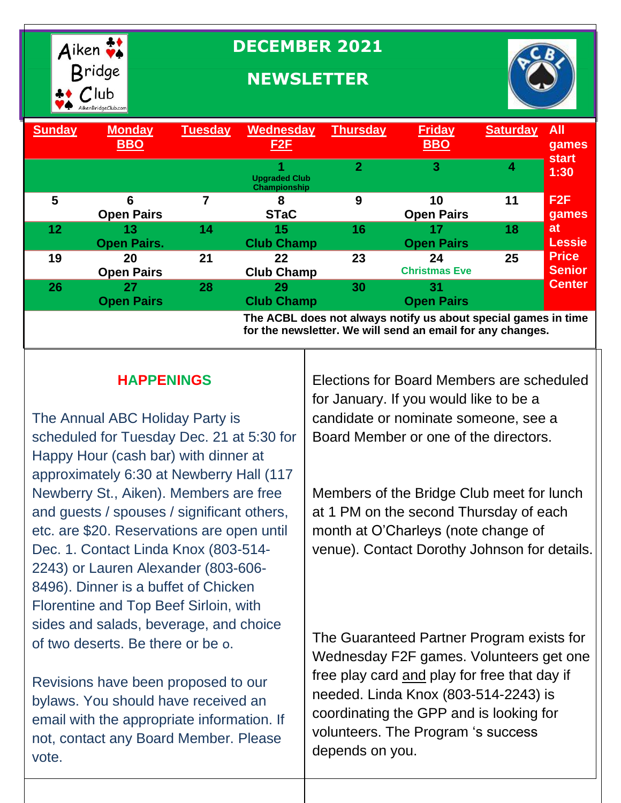

# **DECEMBER 2021**

# **NEWSLETTER**



| <b>Sunday</b>                                                                                                                | <b>Monday</b><br><b>BBO</b> | <b>Tuesday</b> | <b>Wednesday</b><br><u>F2F</u>       | <b>Thursday</b> | <b>Friday</b><br><b>BBO</b> | <b>Saturday</b> | <b>All</b><br>games  |
|------------------------------------------------------------------------------------------------------------------------------|-----------------------------|----------------|--------------------------------------|-----------------|-----------------------------|-----------------|----------------------|
|                                                                                                                              |                             |                | <b>Upgraded Club</b><br>Championship | $\overline{2}$  | 3                           |                 | <b>start</b><br>1:30 |
| 5                                                                                                                            | 6                           |                | 8                                    | 9               | 10                          | 11              | F <sub>2</sub> F     |
|                                                                                                                              | <b>Open Pairs</b>           |                | <b>STaC</b>                          |                 | <b>Open Pairs</b>           |                 | games                |
| $12 \overline{ }$                                                                                                            | 13                          | 14             | 15                                   | 16              | 17                          | 18              | <b>at</b>            |
|                                                                                                                              | <b>Open Pairs.</b>          |                | <b>Club Champ</b>                    |                 | <b>Open Pairs</b>           |                 | <b>Lessie</b>        |
| 19                                                                                                                           | 20                          | 21             | 22                                   | 23              | 24                          | 25              | <b>Price</b>         |
|                                                                                                                              | <b>Open Pairs</b>           |                | <b>Club Champ</b>                    |                 | <b>Christmas Eve</b>        |                 | <b>Senior</b>        |
| 26                                                                                                                           | 27                          | 28             | 29                                   | 30              | 31                          |                 | <b>Center</b>        |
|                                                                                                                              | <b>Open Pairs</b>           |                | <b>Club Champ</b>                    |                 | <b>Open Pairs</b>           |                 |                      |
| The ACBL does not always notify us about special games in time<br>for the newsletter. We will send an email for any changes. |                             |                |                                      |                 |                             |                 |                      |

### **HAPPENINGS**

The Annual ABC Holiday Party is scheduled for Tuesday Dec. 21 at 5:30 for Happy Hour (cash bar) with dinner at approximately 6:30 at Newberry Hall (117 Newberry St., Aiken). Members are free and guests / spouses / significant others, etc. are \$20. Reservations are open until Dec. 1. Contact Linda Knox (803-514- 2243) or Lauren Alexander (803-606- 8496). Dinner is a buffet of Chicken Florentine and Top Beef Sirloin, with sides and salads, beverage, and choice of two deserts. Be there or be o.

Revisions have been proposed to our bylaws. You should have received an email with the appropriate information. If not, contact any Board Member. Please vote.

Elections for Board Members are scheduled for January. If you would like to be a candidate or nominate someone, see a Board Member or one of the directors.

Members of the Bridge Club meet for lunch at 1 PM on the second Thursday of each month at O'Charleys (note change of venue). Contact Dorothy Johnson for details.

The Guaranteed Partner Program exists for Wednesday F2F games. Volunteers get one free play card and play for free that day if needed. Linda Knox (803-514-2243) is coordinating the GPP and is looking for volunteers. The Program 's success depends on you.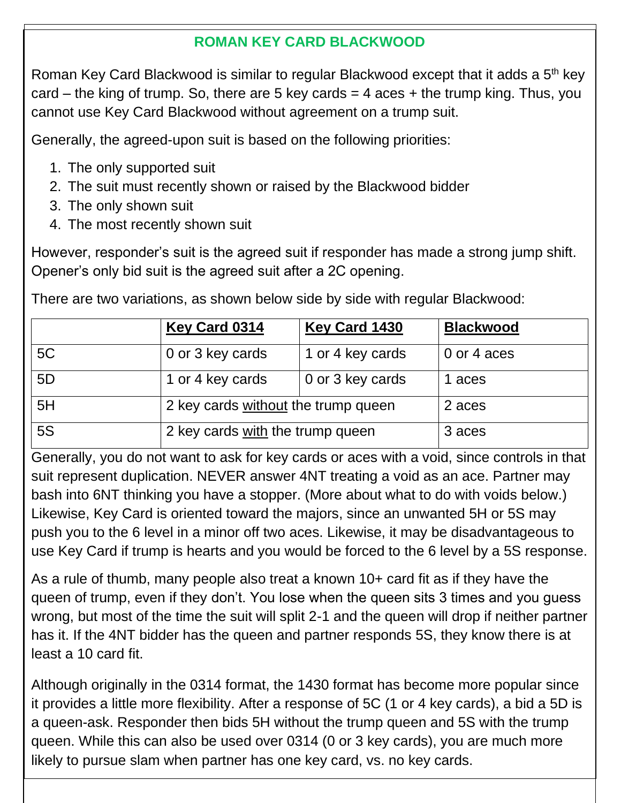#### **ROMAN KEY CARD BLACKWOOD**

Roman Key Card Blackwood is similar to regular Blackwood except that it adds a 5th key card – the king of trump. So, there are 5 key cards  $=$  4 aces  $+$  the trump king. Thus, you cannot use Key Card Blackwood without agreement on a trump suit.

Generally, the agreed-upon suit is based on the following priorities:

- 1. The only supported suit
- 2. The suit must recently shown or raised by the Blackwood bidder
- 3. The only shown suit
- 4. The most recently shown suit

However, responder's suit is the agreed suit if responder has made a strong jump shift. Opener's only bid suit is the agreed suit after a 2C opening.

There are two variations, as shown below side by side with regular Blackwood:

|                | <b>Key Card 0314</b>                | <b>Key Card 1430</b> | <b>Blackwood</b> |
|----------------|-------------------------------------|----------------------|------------------|
| 5C             | 0 or 3 key cards                    | 1 or 4 key cards     | 0 or 4 aces      |
| 5 <sub>D</sub> | 1 or 4 key cards                    | 0 or 3 key cards     | 1 aces           |
| 5H             | 2 key cards without the trump queen | 2 aces               |                  |
| <b>5S</b>      | 2 key cards with the trump queen    | 3 aces               |                  |

Generally, you do not want to ask for key cards or aces with a void, since controls in that suit represent duplication. NEVER answer 4NT treating a void as an ace. Partner may bash into 6NT thinking you have a stopper. (More about what to do with voids below.) Likewise, Key Card is oriented toward the majors, since an unwanted 5H or 5S may push you to the 6 level in a minor off two aces. Likewise, it may be disadvantageous to use Key Card if trump is hearts and you would be forced to the 6 level by a 5S response.

As a rule of thumb, many people also treat a known 10+ card fit as if they have the queen of trump, even if they don't. You lose when the queen sits 3 times and you guess wrong, but most of the time the suit will split 2-1 and the queen will drop if neither partner has it. If the 4NT bidder has the queen and partner responds 5S, they know there is at least a 10 card fit.

Although originally in the 0314 format, the 1430 format has become more popular since it provides a little more flexibility. After a response of 5C (1 or 4 key cards), a bid a 5D is a queen-ask. Responder then bids 5H without the trump queen and 5S with the trump queen. While this can also be used over 0314 (0 or 3 key cards), you are much more likely to pursue slam when partner has one key card, vs. no key cards.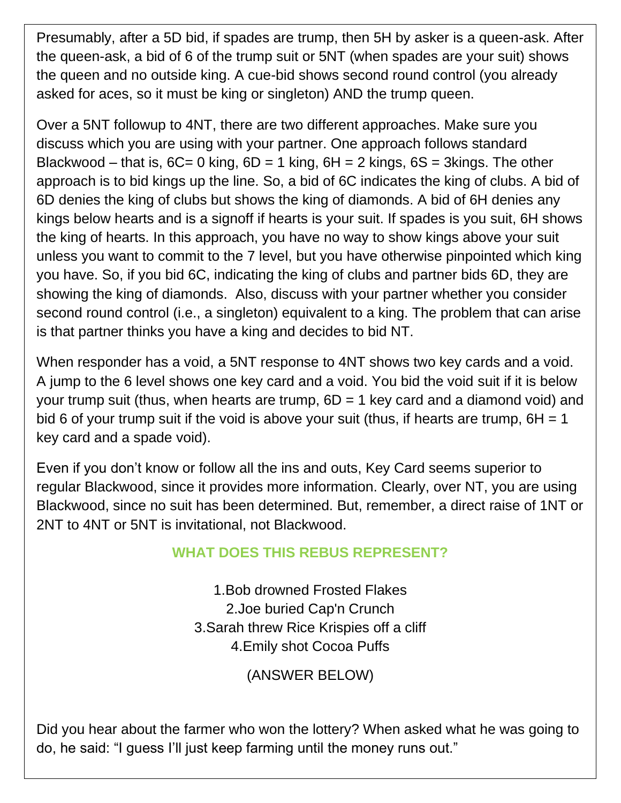Presumably, after a 5D bid, if spades are trump, then 5H by asker is a queen-ask. After the queen-ask, a bid of 6 of the trump suit or 5NT (when spades are your suit) shows the queen and no outside king. A cue-bid shows second round control (you already asked for aces, so it must be king or singleton) AND the trump queen.

Over a 5NT followup to 4NT, there are two different approaches. Make sure you discuss which you are using with your partner. One approach follows standard Blackwood – that is,  $6C = 0$  king,  $6D = 1$  king,  $6H = 2$  kings,  $6S = 3k$ ings. The other approach is to bid kings up the line. So, a bid of 6C indicates the king of clubs. A bid of 6D denies the king of clubs but shows the king of diamonds. A bid of 6H denies any kings below hearts and is a signoff if hearts is your suit. If spades is you suit, 6H shows the king of hearts. In this approach, you have no way to show kings above your suit unless you want to commit to the 7 level, but you have otherwise pinpointed which king you have. So, if you bid 6C, indicating the king of clubs and partner bids 6D, they are showing the king of diamonds. Also, discuss with your partner whether you consider second round control (i.e., a singleton) equivalent to a king. The problem that can arise is that partner thinks you have a king and decides to bid NT.

When responder has a void, a 5NT response to 4NT shows two key cards and a void. A jump to the 6 level shows one key card and a void. You bid the void suit if it is below your trump suit (thus, when hearts are trump,  $6D = 1$  key card and a diamond void) and bid 6 of your trump suit if the void is above your suit (thus, if hearts are trump,  $6H = 1$ key card and a spade void).

Even if you don't know or follow all the ins and outs, Key Card seems superior to regular Blackwood, since it provides more information. Clearly, over NT, you are using Blackwood, since no suit has been determined. But, remember, a direct raise of 1NT or 2NT to 4NT or 5NT is invitational, not Blackwood.

#### **WHAT DOES THIS REBUS REPRESENT?**

1.Bob drowned Frosted Flakes 2.Joe buried Cap'n Crunch 3.Sarah threw Rice Krispies off a cliff 4.Emily shot Cocoa Puffs

(ANSWER BELOW)

Did you hear about the farmer who won the lottery? When asked what he was going to do, he said: "I guess I'll just keep farming until the money runs out."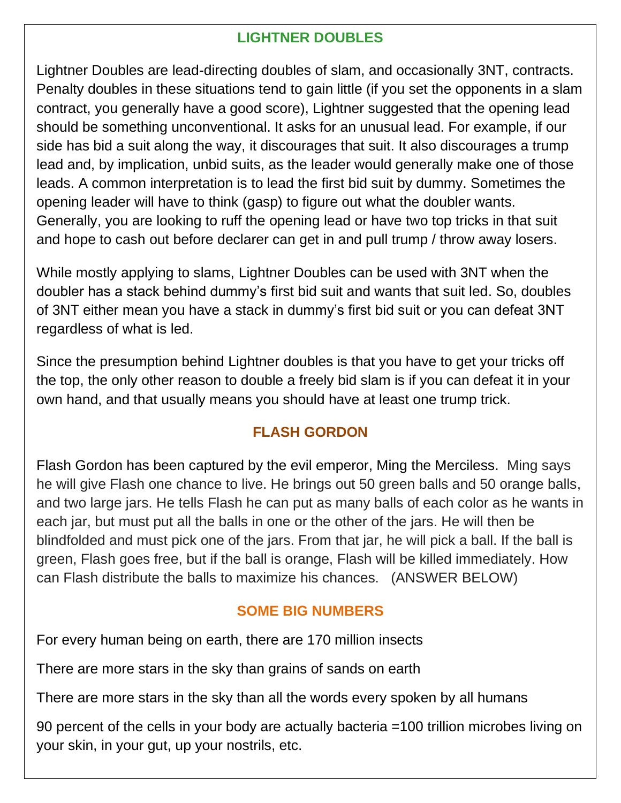### **LIGHTNER DOUBLES**

Lightner Doubles are lead-directing doubles of slam, and occasionally 3NT, contracts. Penalty doubles in these situations tend to gain little (if you set the opponents in a slam contract, you generally have a good score), Lightner suggested that the opening lead should be something unconventional. It asks for an unusual lead. For example, if our side has bid a suit along the way, it discourages that suit. It also discourages a trump lead and, by implication, unbid suits, as the leader would generally make one of those leads. A common interpretation is to lead the first bid suit by dummy. Sometimes the opening leader will have to think (gasp) to figure out what the doubler wants. Generally, you are looking to ruff the opening lead or have two top tricks in that suit and hope to cash out before declarer can get in and pull trump / throw away losers.

While mostly applying to slams, Lightner Doubles can be used with 3NT when the doubler has a stack behind dummy's first bid suit and wants that suit led. So, doubles of 3NT either mean you have a stack in dummy's first bid suit or you can defeat 3NT regardless of what is led.

Since the presumption behind Lightner doubles is that you have to get your tricks off the top, the only other reason to double a freely bid slam is if you can defeat it in your own hand, and that usually means you should have at least one trump trick.

### **FLASH GORDON**

Flash Gordon has been captured by the evil emperor, Ming the Merciless. Ming says he will give Flash one chance to live. He brings out 50 green balls and 50 orange balls, and two large jars. He tells Flash he can put as many balls of each color as he wants in each jar, but must put all the balls in one or the other of the jars. He will then be blindfolded and must pick one of the jars. From that jar, he will pick a ball. If the ball is green, Flash goes free, but if the ball is orange, Flash will be killed immediately. How can Flash distribute the balls to maximize his chances. (ANSWER BELOW)

### **SOME BIG NUMBERS**

For every human being on earth, there are 170 million insects

There are more stars in the sky than grains of sands on earth

There are more stars in the sky than all the words every spoken by all humans

90 percent of the cells in your body are actually bacteria =100 trillion microbes living on your skin, in your gut, up your nostrils, etc.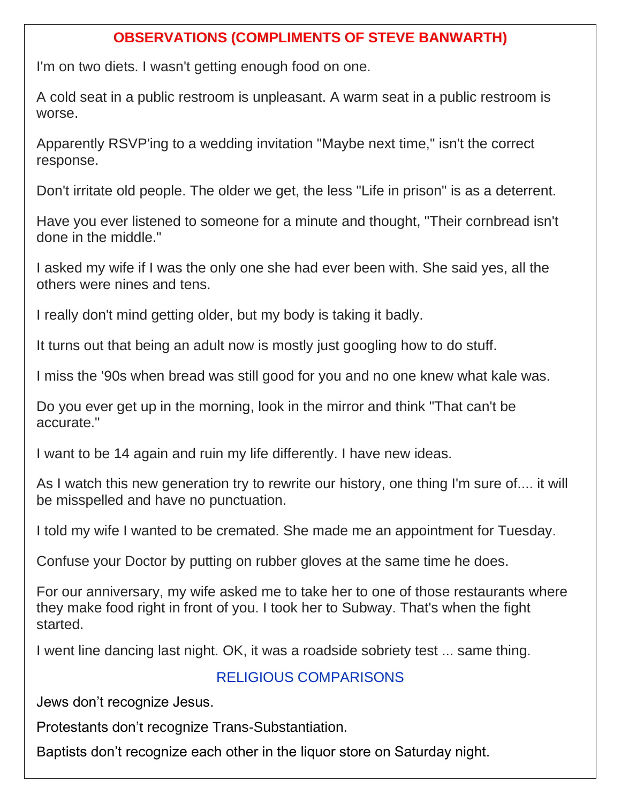### **OBSERVATIONS (COMPLIMENTS OF STEVE BANWARTH)**

I'm on two diets. I wasn't getting enough food on one.

A cold seat in a public restroom is unpleasant. A warm seat in a public restroom is worse.

Apparently RSVP'ing to a wedding invitation "Maybe next time," isn't the correct response.

Don't irritate old people. The older we get, the less "Life in prison" is as a deterrent.

Have you ever listened to someone for a minute and thought, "Their cornbread isn't done in the middle."

I asked my wife if I was the only one she had ever been with. She said yes, all the others were nines and tens.

I really don't mind getting older, but my body is taking it badly.

It turns out that being an adult now is mostly just googling how to do stuff.

I miss the '90s when bread was still good for you and no one knew what kale was.

Do you ever get up in the morning, look in the mirror and think "That can't be accurate."

I want to be 14 again and ruin my life differently. I have new ideas.

As I watch this new generation try to rewrite our history, one thing I'm sure of.... it will be misspelled and have no punctuation.

I told my wife I wanted to be cremated. She made me an appointment for Tuesday.

Confuse your Doctor by putting on rubber gloves at the same time he does.

For our anniversary, my wife asked me to take her to one of those restaurants where they make food right in front of you. I took her to Subway. That's when the fight started.

I went line dancing last night. OK, it was a roadside sobriety test ... same thing.

### RELIGIOUS COMPARISONS

Jews don't recognize Jesus.

Protestants don't recognize Trans-Substantiation.

Baptists don't recognize each other in the liquor store on Saturday night.